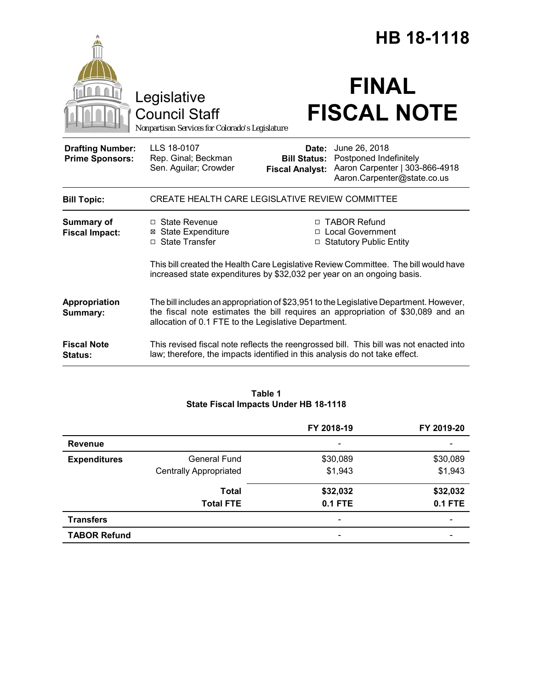|                                                   |                                                                                                                                                                                                                                   | HB 18-1118                                             |                                                                                                          |  |  |
|---------------------------------------------------|-----------------------------------------------------------------------------------------------------------------------------------------------------------------------------------------------------------------------------------|--------------------------------------------------------|----------------------------------------------------------------------------------------------------------|--|--|
|                                                   | Legislative<br><b>Council Staff</b><br>Nonpartisan Services for Colorado's Legislature                                                                                                                                            |                                                        | <b>FINAL</b><br><b>FISCAL NOTE</b>                                                                       |  |  |
| <b>Drafting Number:</b><br><b>Prime Sponsors:</b> | LLS 18-0107<br>Rep. Ginal; Beckman<br>Sen. Aguilar; Crowder                                                                                                                                                                       | Date:<br><b>Bill Status:</b><br><b>Fiscal Analyst:</b> | June 26, 2018<br>Postponed Indefinitely<br>Aaron Carpenter   303-866-4918<br>Aaron.Carpenter@state.co.us |  |  |
| <b>Bill Topic:</b>                                | CREATE HEALTH CARE LEGISLATIVE REVIEW COMMITTEE                                                                                                                                                                                   |                                                        |                                                                                                          |  |  |
| <b>Summary of</b><br><b>Fiscal Impact:</b>        | $\Box$ State Revenue<br><b>⊠</b> State Expenditure<br>□ State Transfer                                                                                                                                                            |                                                        | □ TABOR Refund<br>□ Local Government<br>□ Statutory Public Entity                                        |  |  |
|                                                   | This bill created the Health Care Legislative Review Committee. The bill would have<br>increased state expenditures by \$32,032 per year on an ongoing basis.                                                                     |                                                        |                                                                                                          |  |  |
| Appropriation<br>Summary:                         | The bill includes an appropriation of \$23,951 to the Legislative Department. However,<br>the fiscal note estimates the bill requires an appropriation of \$30,089 and an<br>allocation of 0.1 FTE to the Legislative Department. |                                                        |                                                                                                          |  |  |
| <b>Fiscal Note</b><br><b>Status:</b>              | This revised fiscal note reflects the reengrossed bill. This bill was not enacted into<br>law; therefore, the impacts identified in this analysis do not take effect.                                                             |                                                        |                                                                                                          |  |  |

### **Table 1 State Fiscal Impacts Under HB 18-1118**

|                     |                               | FY 2018-19                   | FY 2019-20     |
|---------------------|-------------------------------|------------------------------|----------------|
| <b>Revenue</b>      |                               | $\qquad \qquad \blacksquare$ |                |
| <b>Expenditures</b> | General Fund                  | \$30,089                     | \$30,089       |
|                     | <b>Centrally Appropriated</b> | \$1,943                      | \$1,943        |
|                     | <b>Total</b>                  | \$32,032                     | \$32,032       |
|                     | <b>Total FTE</b>              | <b>0.1 FTE</b>               | <b>0.1 FTE</b> |
| <b>Transfers</b>    |                               | $\overline{\phantom{a}}$     |                |
| <b>TABOR Refund</b> |                               | $\overline{\phantom{0}}$     |                |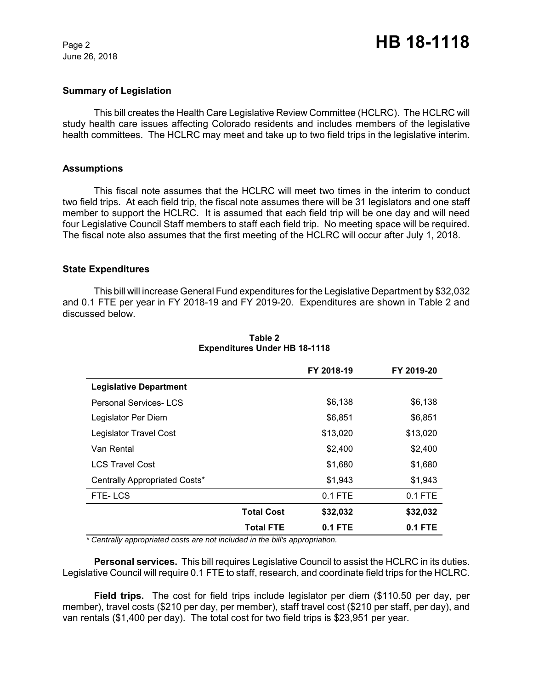June 26, 2018

### **Summary of Legislation**

This bill creates the Health Care Legislative Review Committee (HCLRC). The HCLRC will study health care issues affecting Colorado residents and includes members of the legislative health committees. The HCLRC may meet and take up to two field trips in the legislative interim.

# **Assumptions**

This fiscal note assumes that the HCLRC will meet two times in the interim to conduct two field trips. At each field trip, the fiscal note assumes there will be 31 legislators and one staff member to support the HCLRC. It is assumed that each field trip will be one day and will need four Legislative Council Staff members to staff each field trip. No meeting space will be required. The fiscal note also assumes that the first meeting of the HCLRC will occur after July 1, 2018.

# **State Expenditures**

This bill will increase General Fund expenditures for the Legislative Department by \$32,032 and 0.1 FTE per year in FY 2018-19 and FY 2019-20. Expenditures are shown in Table 2 and discussed below.

|                               |                   | FY 2018-19 | FY 2019-20 |
|-------------------------------|-------------------|------------|------------|
| <b>Legislative Department</b> |                   |            |            |
| <b>Personal Services-LCS</b>  |                   | \$6,138    | \$6,138    |
| Legislator Per Diem           |                   | \$6,851    | \$6,851    |
| Legislator Travel Cost        |                   | \$13,020   | \$13,020   |
| Van Rental                    |                   | \$2,400    | \$2,400    |
| <b>LCS Travel Cost</b>        |                   | \$1,680    | \$1,680    |
| Centrally Appropriated Costs* |                   | \$1,943    | \$1,943    |
| FTE-LCS                       |                   | $0.1$ FTE  | $0.1$ FTE  |
|                               | <b>Total Cost</b> | \$32,032   | \$32,032   |
|                               | <b>Total FTE</b>  | $0.1$ FTE  | 0.1 FTE    |

## **Table 2 Expenditures Under HB 18-1118**

*\* Centrally appropriated costs are not included in the bill's appropriation.*

**Personal services.** This bill requires Legislative Council to assist the HCLRC in its duties. Legislative Council will require 0.1 FTE to staff, research, and coordinate field trips for the HCLRC.

**Field trips.** The cost for field trips include legislator per diem (\$110.50 per day, per member), travel costs (\$210 per day, per member), staff travel cost (\$210 per staff, per day), and van rentals (\$1,400 per day). The total cost for two field trips is \$23,951 per year.